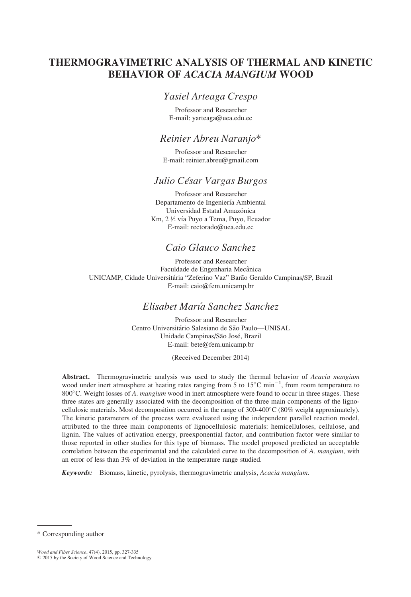# THERMOGRAVIMETRIC ANALYSIS OF THERMAL AND KINETIC BEHAVIOR OF ACACIA MANGIUM WOOD

### Yasiel Arteaga Crespo

Professor and Researcher E-mail: yarteaga@uea.edu.ec

### Reinier Abreu Naranjo\*

Professor and Researcher E-mail: reinier.abreu@gmail.com

### Julio César Vargas Burgos

Professor and Researcher Departamento de Ingeniería Ambiental Universidad Estatal Amazónica Km, 2 ½ vía Puvo a Tema, Puvo, Ecuador E-mail: rectorado@uea.edu.ec

## Caio Glauco Sanchez

Professor and Researcher Faculdade de Engenharia Mecânica UNICAMP, Cidade Universitária "Zeferino Vaz" Barão Geraldo Campinas/SP, Brazil E-mail: caio@fem.unicamp.br

## Elisabet Marı´a Sanchez Sanchez

Professor and Researcher Centro Universitário Salesiano de São Paulo—UNISAL Unidade Campinas/São José, Brazil E-mail: bete@fem.unicamp.br

#### (Received December 2014)

Abstract. Thermogravimetric analysis was used to study the thermal behavior of Acacia mangium wood under inert atmosphere at heating rates ranging from 5 to  $15^{\circ}$ C min<sup>-1</sup>, from room temperature to 800 $^{\circ}$ C. Weight losses of A. mangium wood in inert atmosphere were found to occur in three stages. These three states are generally associated with the decomposition of the three main components of the lignocellulosic materials. Most decomposition occurred in the range of  $300-400^{\circ}$ C (80% weight approximately). The kinetic parameters of the process were evaluated using the independent parallel reaction model, attributed to the three main components of lignocellulosic materials: hemicelluloses, cellulose, and lignin. The values of activation energy, preexponential factor, and contribution factor were similar to those reported in other studies for this type of biomass. The model proposed predicted an acceptable correlation between the experimental and the calculated curve to the decomposition of A. mangium, with an error of less than 3% of deviation in the temperature range studied.

Keywords: Biomass, kinetic, pyrolysis, thermogravimetric analysis, Acacia mangium.

<sup>\*</sup> Corresponding author

Wood and Fiber Science, 47(4), 2015, pp. 327-335<br>© 2015 by the Society of Wood Science and Technology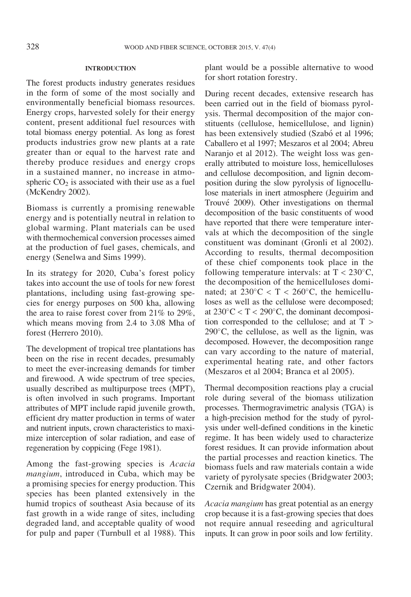#### INTRODUCTION

The forest products industry generates residues in the form of some of the most socially and environmentally beneficial biomass resources. Energy crops, harvested solely for their energy content, present additional fuel resources with total biomass energy potential. As long as forest products industries grow new plants at a rate greater than or equal to the harvest rate and thereby produce residues and energy crops in a sustained manner, no increase in atmospheric  $CO<sub>2</sub>$  is associated with their use as a fuel (McKendry 2002).

Biomass is currently a promising renewable energy and is potentially neutral in relation to global warming. Plant materials can be used with thermochemical conversion processes aimed at the production of fuel gases, chemicals, and energy (Senelwa and Sims 1999).

In its strategy for 2020, Cuba's forest policy takes into account the use of tools for new forest plantations, including using fast-growing species for energy purposes on 500 kha, allowing the area to raise forest cover from 21% to 29%, which means moving from 2.4 to 3.08 Mha of forest (Herrero 2010).

The development of tropical tree plantations has been on the rise in recent decades, presumably to meet the ever-increasing demands for timber and firewood. A wide spectrum of tree species, usually described as multipurpose trees (MPT), is often involved in such programs. Important attributes of MPT include rapid juvenile growth, efficient dry matter production in terms of water and nutrient inputs, crown characteristics to maximize interception of solar radiation, and ease of regeneration by coppicing (Fege 1981).

Among the fast-growing species is Acacia mangium, introduced in Cuba, which may be a promising species for energy production. This species has been planted extensively in the humid tropics of southeast Asia because of its fast growth in a wide range of sites, including degraded land, and acceptable quality of wood for pulp and paper (Turnbull et al 1988). This

plant would be a possible alternative to wood for short rotation forestry.

During recent decades, extensive research has been carried out in the field of biomass pyrolysis. Thermal decomposition of the major constituents (cellulose, hemicellulose, and lignin) has been extensively studied (Szabó et al 1996; Caballero et al 1997; Meszaros et al 2004; Abreu Naranjo et al 2012). The weight loss was generally attributed to moisture loss, hemicelluloses and cellulose decomposition, and lignin decomposition during the slow pyrolysis of lignocellulose materials in inert atmosphere (Jeguirim and Trouvé 2009). Other investigations on thermal decomposition of the basic constituents of wood have reported that there were temperature intervals at which the decomposition of the single constituent was dominant (Gronli et al 2002). According to results, thermal decomposition of these chief components took place in the following temperature intervals: at  $T < 230^{\circ}$ C, the decomposition of the hemicelluloses dominated; at  $230^{\circ}$ C < T <  $260^{\circ}$ C, the hemicelluloses as well as the cellulose were decomposed; at  $230^{\circ}$ C < T <  $290^{\circ}$ C, the dominant decomposition corresponded to the cellulose; and at  $T >$  $290^{\circ}$ C, the cellulose, as well as the lignin, was decomposed. However, the decomposition range can vary according to the nature of material, experimental heating rate, and other factors (Meszaros et al 2004; Branca et al 2005).

Thermal decomposition reactions play a crucial role during several of the biomass utilization processes. Thermogravimetric analysis (TGA) is a high-precision method for the study of pyrolysis under well-defined conditions in the kinetic regime. It has been widely used to characterize forest residues. It can provide information about the partial processes and reaction kinetics. The biomass fuels and raw materials contain a wide variety of pyrolysate species (Bridgwater 2003; Czernik and Bridgwater 2004).

Acacia mangium has great potential as an energy crop because it is a fast-growing species that does not require annual reseeding and agricultural inputs. It can grow in poor soils and low fertility.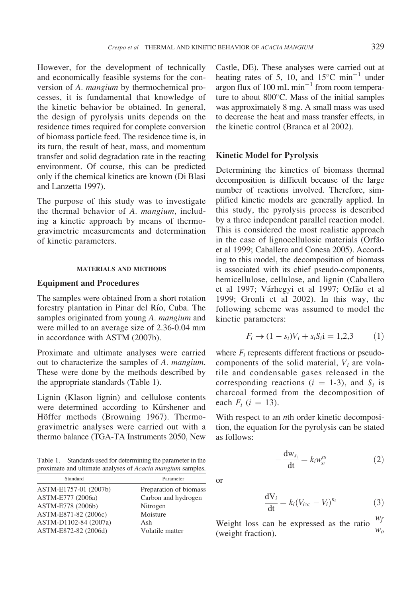However, for the development of technically and economically feasible systems for the conversion of A. mangium by thermochemical processes, it is fundamental that knowledge of the kinetic behavior be obtained. In general, the design of pyrolysis units depends on the residence times required for complete conversion of biomass particle feed. The residence time is, in its turn, the result of heat, mass, and momentum transfer and solid degradation rate in the reacting environment. Of course, this can be predicted only if the chemical kinetics are known (Di Blasi and Lanzetta 1997).

The purpose of this study was to investigate the thermal behavior of A. mangium, including a kinetic approach by means of thermogravimetric measurements and determination of kinetic parameters.

#### MATERIALS AND METHODS

### Equipment and Procedures

The samples were obtained from a short rotation forestry plantation in Pinar del Río, Cuba. The samples originated from young A. *mangium* and were milled to an average size of 2.36-0.04 mm in accordance with ASTM (2007b).

Proximate and ultimate analyses were carried out to characterize the samples of A. mangium. These were done by the methods described by the appropriate standards (Table 1).

Lignin (Klason lignin) and cellulose contents were determined according to Kürshener and Höffer methods (Browning 1967). Thermogravimetric analyses were carried out with a thermo balance (TGA-TA Instruments 2050, New

Table 1. Standards used for determining the parameter in the proximate and ultimate analyses of Acacia mangium samples.

| Standard<br>Parameter |                        |
|-----------------------|------------------------|
| ASTM-E1757-01 (2007b) | Preparation of biomass |
| ASTM-E777 (2006a)     | Carbon and hydrogen    |
| ASTM-E778 (2006b)     | Nitrogen               |
| ASTM-E871-82 (2006c)  | Moisture               |
| ASTM-D1102-84 (2007a) | Ash                    |
| ASTM-E872-82 (2006d)  | Volatile matter        |

Castle, DE). These analyses were carried out at heating rates of 5, 10, and  $15^{\circ}$ C min<sup>-1</sup> under argon flux of 100 mL  $min^{-1}$  from room temperature to about  $800^{\circ}$ C. Mass of the initial samples was approximately 8 mg. A small mass was used to decrease the heat and mass transfer effects, in the kinetic control (Branca et al 2002).

### Kinetic Model for Pyrolysis

Determining the kinetics of biomass thermal decomposition is difficult because of the large number of reactions involved. Therefore, simplified kinetic models are generally applied. In this study, the pyrolysis process is described by a three independent parallel reaction model. This is considered the most realistic approach in the case of lignocellulosic materials (Orfão et al 1999; Caballero and Conesa 2005). According to this model, the decomposition of biomass is associated with its chief pseudo-components, hemicellulose, cellulose, and lignin (Caballero et al 1997; Várhegyi et al 1997; Orfão et al 1999; Gronli et al 2002). In this way, the following scheme was assumed to model the kinetic parameters:

$$
F_i \to (1 - s_i)V_i + s_i S_i \mathbf{i} = 1,2,3 \tag{1}
$$

where  $F_i$  represents different fractions or pseudocomponents of the solid material,  $V_i$  are volatile and condensable gases released in the corresponding reactions ( $i = 1-3$ ), and  $S_i$  is charcoal formed from the decomposition of each  $F_i$  (i = 13).

With respect to an *n*th order kinetic decomposition, the equation for the pyrolysis can be stated as follows:

$$
-\frac{\mathrm{d}w_{s_i}}{\mathrm{d}t} = k_i w_{s_i}^{n_i} \tag{2}
$$

$$
\frac{dV_i}{dt} = k_i (V_{i\infty} - V_i)^{n_i}
$$
 (3)

Weight loss can be expressed as the ratio  $\frac{w_f}{w_f}$ weight fraction).  $w_0$ 

or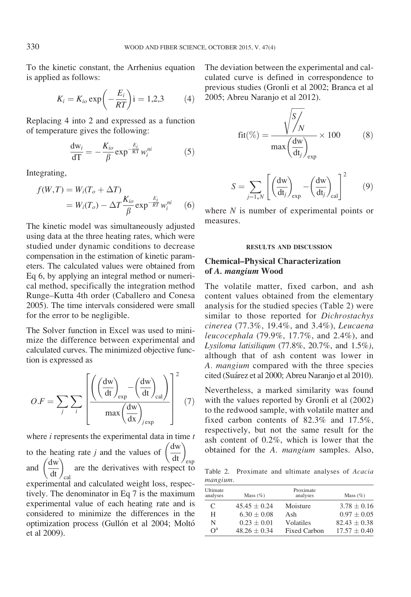To the kinetic constant, the Arrhenius equation is applied as follows:

$$
K_i = K_{io} \exp\left(-\frac{E_i}{RT}\right)i = 1,2,3 \tag{4}
$$

Replacing 4 into 2 and expressed as a function of temperature gives the following:

$$
\frac{\mathrm{d}w_i}{\mathrm{d}T} = -\frac{K_{io}}{\beta} \exp^{-\frac{E_i}{RT}} w_i^{ni}
$$
 (5)

Integrating,

$$
f(W,T) = W_i(T_o + \Delta T)
$$
  
= 
$$
W_i(T_o) - \Delta T \frac{K_{io}}{\beta} \exp^{-\frac{E_i}{RT}} w_i^{ni}
$$
 (6)

The kinetic model was simultaneously adjusted using data at the three heating rates, which were studied under dynamic conditions to decrease compensation in the estimation of kinetic parameters. The calculated values were obtained from Eq 6, by applying an integral method or numerical method, specifically the integration method Runge–Kutta 4th order (Caballero and Conesa 2005). The time intervals considered were small for the error to be negligible.

The Solver function in Excel was used to minimize the difference between experimental and calculated curves. The minimized objective function is expressed as

$$
O.F = \sum_{j} \sum_{i} \left[ \frac{\left( \left( \frac{dw}{dt} \right)_{exp} - \left( \frac{dw}{dt} \right)_{cal}}{\max \left( \frac{dw}{dx} \right)_{jexp}} \right]^2 \tag{7}
$$

where  $i$  represents the experimental data in time  $t$ 

to the heating rate  $j$  and the values of to the heating rate *j* and the values of  $\left(\frac{dw}{dt}\right)_{exp}$ <br>and  $\left(\frac{dw}{dt}\right)_{cal}$  are the derivatives with respect to are the derivatives with respect to experimental and calculated weight loss, respectively. The denominator in Eq 7 is the maximum experimental value of each heating rate and is considered to minimize the differences in the optimization process (Gullón et al 2004; Moltó et al 2009).

The deviation between the experimental and calculated curve is defined in correspondence to previous studies (Gronli et al 2002; Branca et al 2005; Abreu Naranjo et al 2012).

$$
fit(\%) = \frac{\sqrt{\frac{S}{N}}}{\max(\frac{dw}{dt_j})_{exp}} \times 100
$$
 (8)

$$
S = \sum_{j=1,N} \left[ \left( \frac{dw}{dt_j} \right)_{exp} - \left( \frac{dw}{dt_j} \right)_{cal} \right]^2 \qquad (9)
$$

where  $N$  is number of experimental points or measures.

#### RESULTS AND DISCUSSION

### Chemical–Physical Characterization of A. mangium Wood

The volatile matter, fixed carbon, and ash content values obtained from the elementary analysis for the studied species (Table 2) were similar to those reported for *Dichrostachys* cinerea (77.3%, 19.4%, and 3.4%), Leucaena leucocephala (79.9%, 17.7%, and 2.4%), and Lysiloma latisiliqum (77.8%, 20.7%, and 1.5%), although that of ash content was lower in A. mangium compared with the three species cited (Sua´rez et al 2000; Abreu Naranjo et al 2010).

Nevertheless, a marked similarity was found with the values reported by Gronli et al (2002) to the redwood sample, with volatile matter and fixed carbon contents of 82.3% and 17.5%, respectively, but not the same result for the ash content of 0.2%, which is lower that the obtained for the A. mangium samples. Also,

Table 2. Proximate and ultimate analyses of Acacia mangium.

| Ultimate<br>analyses | Mass $(\%)$      | Proximate<br>analyses | Mass $(\%)$     |
|----------------------|------------------|-----------------------|-----------------|
| C                    | $45.45 \pm 0.24$ | Moisture              | $3.78 \pm 0.16$ |
| Н                    | $6.30 + 0.08$    | Ash                   | $0.97 + 0.05$   |
| N                    | $0.23 + 0.01$    | Volatiles             | $82.43 + 0.38$  |
| $\Omega^a$           | $48.26 + 0.34$   | Fixed Carbon          | $17.57 + 0.40$  |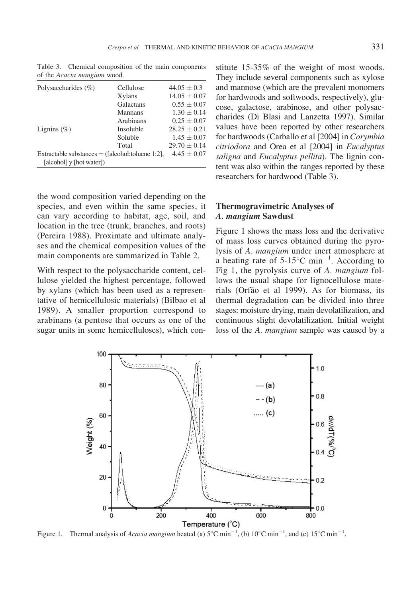Table 3. Chemical composition of the main components

| of the <i>Acacia mangum</i> wood.                  |                |                  |
|----------------------------------------------------|----------------|------------------|
| Polysaccharides $(\% )$                            | Cellulose      | $44.05 \pm 0.3$  |
|                                                    | Xylans         | $14.05 + 0.07$   |
|                                                    | Galactans      | $0.55 \pm 0.07$  |
|                                                    | <b>Mannans</b> | $1.30 \pm 0.14$  |
|                                                    | Arabinans      | $0.25 \pm 0.07$  |
| Lignins $(\%)$                                     | Insoluble      | $28.25 \pm 0.21$ |
|                                                    | Soluble        | $1.45 \pm 0.07$  |
|                                                    | Total          | $29.70 \pm 0.14$ |
| Extractable substances $=$ ([alcohol:toluene 1:2], |                | $4.45 \pm 0.07$  |
| [alcohol] y [hot water])                           |                |                  |

of the Acacia mangium wood.

the wood composition varied depending on the species, and even within the same species, it can vary according to habitat, age, soil, and location in the tree (trunk, branches, and roots) (Pereira 1988). Proximate and ultimate analyses and the chemical composition values of the main components are summarized in Table 2.

With respect to the polysaccharide content, cellulose yielded the highest percentage, followed by xylans (which has been used as a representative of hemicellulosic materials) (Bilbao et al 1989). A smaller proportion correspond to arabinans (a pentose that occurs as one of the sugar units in some hemicelluloses), which con-

stitute 15-35% of the weight of most woods. They include several components such as xylose and mannose (which are the prevalent monomers for hardwoods and softwoods, respectively), glucose, galactose, arabinose, and other polysaccharides (Di Blasi and Lanzetta 1997). Similar values have been reported by other researchers for hardwoods (Carballo et al [2004] in Corymbia citriodora and Orea et al [2004] in Eucalyptus saligna and Eucalyptus pellita). The lignin content was also within the ranges reported by these researchers for hardwood (Table 3).

### Thermogravimetric Analyses of A. mangium Sawdust

Figure 1 shows the mass loss and the derivative of mass loss curves obtained during the pyrolysis of A. mangium under inert atmosphere at a heating rate of  $5{\text -}15^{\circ}\text{C min}^{-1}$ . According to Fig 1, the pyrolysis curve of A. mangium follows the usual shape for lignocellulose materials (Orfão et al 1999). As for biomass, its thermal degradation can be divided into three stages: moisture drying, main devolatilization, and continuous slight devolatilization. Initial weight loss of the A. *mangium* sample was caused by a



Figure 1. Thermal analysis of *Acacia mangium* heated (a)  $5^{\circ}$ C min<sup>-1</sup>, (b)  $10^{\circ}$ C min<sup>-1</sup>, and (c)  $15^{\circ}$ C min<sup>-1</sup>.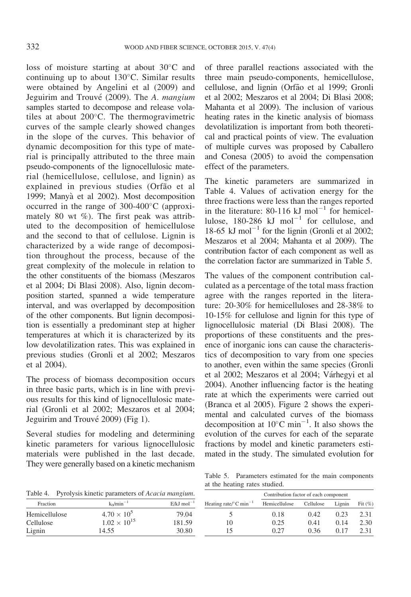loss of moisture starting at about  $30^{\circ}$ C and continuing up to about  $130^{\circ}$ C. Similar results were obtained by Angelini et al (2009) and Jeguirim and Trouvé (2009). The A. mangium samples started to decompose and release volatiles at about  $200^{\circ}$ C. The thermogravimetric curves of the sample clearly showed changes in the slope of the curves. This behavior of dynamic decomposition for this type of material is principally attributed to the three main pseudo-components of the lignocellulosic material (hemicellulose, cellulose, and lignin) as explained in previous studies (Orfão et al 1999; Manya` et al 2002). Most decomposition occurred in the range of  $300-400^{\circ}$ C (approximately 80 wt  $\%$ ). The first peak was attributed to the decomposition of hemicellulose and the second to that of cellulose. Lignin is characterized by a wide range of decomposition throughout the process, because of the great complexity of the molecule in relation to the other constituents of the biomass (Meszaros et al 2004; Di Blasi 2008). Also, lignin decomposition started, spanned a wide temperature interval, and was overlapped by decomposition of the other components. But lignin decomposition is essentially a predominant step at higher temperatures at which it is characterized by its low devolatilization rates. This was explained in previous studies (Gronli et al 2002; Meszaros et al 2004).

The process of biomass decomposition occurs in three basic parts, which is in line with previous results for this kind of lignocellulosic material (Gronli et al 2002; Meszaros et al 2004; Jeguirim and Trouvé 2009) (Fig 1).

Several studies for modeling and determining kinetic parameters for various lignocellulosic materials were published in the last decade. They were generally based on a kinetic mechanism of three parallel reactions associated with the three main pseudo-components, hemicellulose, cellulose, and lignin (Orfa˜o et al 1999; Gronli et al 2002; Meszaros et al 2004; Di Blasi 2008; Mahanta et al 2009). The inclusion of various heating rates in the kinetic analysis of biomass devolatilization is important from both theoretical and practical points of view. The evaluation of multiple curves was proposed by Caballero and Conesa (2005) to avoid the compensation effect of the parameters.

The kinetic parameters are summarized in Table 4. Values of activation energy for the three fractions were less than the ranges reported in the literature: 80-116 kJ mol<sup>-1</sup> for hemicellulose, 180-286 kJ mol<sup>-1</sup> for cellulose, and 18-65 kJ mol<sup>-1</sup> for the lignin (Gronli et al 2002; Meszaros et al 2004; Mahanta et al 2009). The contribution factor of each component as well as the correlation factor are summarized in Table 5.

The values of the component contribution calculated as a percentage of the total mass fraction agree with the ranges reported in the literature: 20-30% for hemicelluloses and 28-38% to 10-15% for cellulose and lignin for this type of lignocellulosic material (Di Blasi 2008). The proportions of these constituents and the presence of inorganic ions can cause the characteristics of decomposition to vary from one species to another, even within the same species (Gronli et al 2002; Meszaros et al 2004; Várhegyi et al 2004). Another influencing factor is the heating rate at which the experiments were carried out (Branca et al 2005). Figure 2 shows the experimental and calculated curves of the biomass decomposition at  $10^{\circ}$ C min<sup>-1</sup>. It also shows the evolution of the curves for each of the separate fractions by model and kinetic parameters estimated in the study. The simulated evolution for

Table 4. Pyrolysis kinetic parameters of Acacia mangium.

| $k_0/min^{-1}$       | $E/kJ$ mol <sup>-1</sup> | Hea |
|----------------------|--------------------------|-----|
| $4.70 \times 10^{5}$ | 79.04                    |     |
|                      | 181.59                   |     |
| 14.55                | 30.80                    |     |
|                      | $1.02 \times 10^{15}$    |     |

Table 5. Parameters estimated for the main components at the heating rates studied.

|                                                 | Contribution factor of each component |           |        |            |
|-------------------------------------------------|---------------------------------------|-----------|--------|------------|
| Heating rate/ $\rm ^{\circ}C$ min <sup>-1</sup> | Hemicellulose                         | Cellulose | Lignin | Fit $(\%)$ |
|                                                 | 0.18                                  | 0.42      | 0.23   | 2.31       |
| 10                                              | 0.25                                  | 0.41      | 0.14   | 2.30       |
| 15                                              |                                       | 0.36      | 0.17   | 2.31       |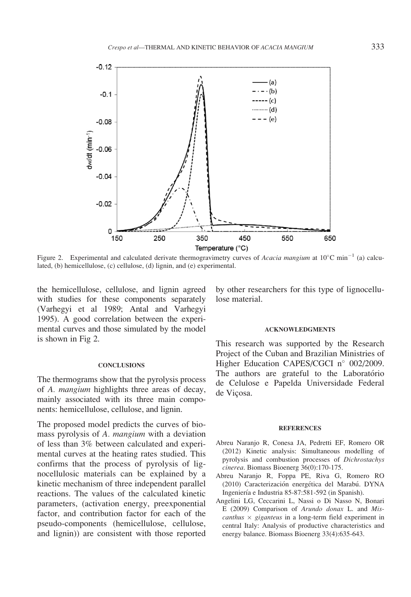

Figure 2. Experimental and calculated derivate thermogravimetry curves of Acacia mangium at  $10^{\circ}$ C min<sup>-1</sup> (a) calculated, (b) hemicellulose, (c) cellulose, (d) lignin, and (e) experimental.

the hemicellulose, cellulose, and lignin agreed with studies for these components separately (Varhegyi et al 1989; Antal and Varhegyi 1995). A good correlation between the experimental curves and those simulated by the model is shown in Fig 2.

#### **CONCLUSIONS**

The thermograms show that the pyrolysis process of A. mangium highlights three areas of decay, mainly associated with its three main components: hemicellulose, cellulose, and lignin.

The proposed model predicts the curves of biomass pyrolysis of A. mangium with a deviation of less than 3% between calculated and experimental curves at the heating rates studied. This confirms that the process of pyrolysis of lignocellulosic materials can be explained by a kinetic mechanism of three independent parallel reactions. The values of the calculated kinetic parameters, (activation energy, preexponential factor, and contribution factor for each of the pseudo-components (hemicellulose, cellulose, and lignin)) are consistent with those reported

by other researchers for this type of lignocellulose material.

#### ACKNOWLEDGMENTS

This research was supported by the Research Project of the Cuban and Brazilian Ministries of Higher Education CAPES/CGCI  $n^{\circ}$  002/2009. The authors are grateful to the Laboratório de Celulose e Papelda Universidade Federal de Viçosa.

#### **REFERENCES**

- Abreu Naranjo R, Conesa JA, Pedretti EF, Romero OR (2012) Kinetic analysis: Simultaneous modelling of pyrolysis and combustion processes of Dichrostachys cinerea. Biomass Bioenerg 36(0):170-175.
- Abreu Naranjo R, Foppa PE, Riva G, Romero RO (2010) Caracterización energética del Marabú. DYNA Ingeniería e Industria 85-87:581-592 (in Spanish).
- Angelini LG, Ceccarini L, Nassi o Di Nasso N, Bonari E (2009) Comparison of Arundo donax L. and Miscanthus  $\times$  giganteus in a long-term field experiment in central Italy: Analysis of productive characteristics and energy balance. Biomass Bioenerg 33(4):635-643.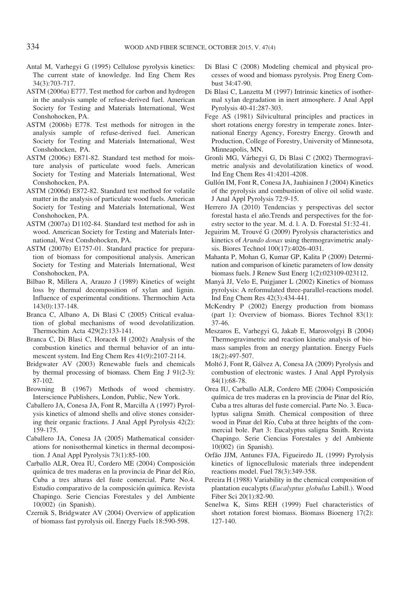- Antal M, Varhegyi G (1995) Cellulose pyrolysis kinetics: The current state of knowledge. Ind Eng Chem Res 34(3):703-717.
- ASTM (2006a) E777. Test method for carbon and hydrogen in the analysis sample of refuse-derived fuel. American Society for Testing and Materials International, West Conshohocken, PA.
- ASTM (2006b) E778. Test methods for nitrogen in the analysis sample of refuse-derived fuel. American Society for Testing and Materials International, West Conshohocken, PA.
- ASTM (2006c) E871-82. Standard test method for moisture analysis of particulate wood fuels. American Society for Testing and Materials International, West Conshohocken, PA.
- ASTM (2006d) E872-82. Standard test method for volatile matter in the analysis of particulate wood fuels. American Society for Testing and Materials International, West Conshohocken, PA.
- ASTM (2007a) D1102-84. Standard test method for ash in wood. American Society for Testing and Materials International, West Conshohocken, PA.
- ASTM (2007b) E1757-01. Standard practice for preparation of biomass for compositional analysis. American Society for Testing and Materials International, West Conshohocken, PA.
- Bilbao R, Millera A, Arauzo J (1989) Kinetics of weight loss by thermal decomposition of xylan and lignin. Influence of experimental conditions. Thermochim Acta 143(0):137-148.
- Branca C, Albano A, Di Blasi C (2005) Critical evaluation of global mechanisms of wood devolatilization. Thermochim Acta 429(2):133-141.
- Branca C, Di Blasi C, Horacek H (2002) Analysis of the combustion kinetics and thermal behavior of an intumescent system. Ind Eng Chem Res 41(9):2107-2114.
- Bridgwater AV (2003) Renewable fuels and chemicals by thermal processing of biomass. Chem Eng J 91(2-3): 87-102.
- Browning B (1967) Methods of wood chemistry. Interscience Publishers, London, Public, New York.
- Caballero JA, Conesa JA, Font R, Marcilla A (1997) Pyrolysis kinetics of almond shells and olive stones considering their organic fractions. J Anal Appl Pyrolysis 42(2): 159-175.
- Caballero JA, Conesa JA (2005) Mathematical considerations for nonisothermal kinetics in thermal decomposition. J Anal Appl Pyrolysis 73(1):85-100.
- Carballo ALR, Orea IU, Cordero ME (2004) Composición química de tres maderas en la provincia de Pinar del Río, Cuba a tres alturas del fuste comercial. Parte No.4. Estudio comparativo de la composición química. Revista Chapingo. Serie Ciencias Forestales y del Ambiente 10(002) (in Spanish).
- Czernik S, Bridgwater AV (2004) Overview of application of biomass fast pyrolysis oil. Energy Fuels 18:590-598.
- Di Blasi C (2008) Modeling chemical and physical processes of wood and biomass pyrolysis. Prog Energ Combust 34:47-90.
- Di Blasi C, Lanzetta M (1997) Intrinsic kinetics of isothermal xylan degradation in inert atmosphere. J Anal Appl Pyrolysis 40-41:287-303.
- Fege AS (1981) Silvicultural principles and practices in short rotations energy forestry in temperate zones. International Energy Agency, Forestry Energy. Growth and Production, College of Forestry, University of Minnesota, Minneapolis, MN.
- Gronli MG, Várhegyi G, Di Blasi C (2002) Thermogravimetric analysis and devolatilization kinetics of wood. Ind Eng Chem Res 41:4201-4208.
- Gullón IM, Font R, Conesa JA, Jauhiainen J (2004) Kinetics of the pyrolysis and combustion of olive oil solid waste. J Anal Appl Pyrolysis 72:9-15.
- Herrero JA (2010) Tendencias y perspectivas del sector forestal hasta el año.Trends and perspectives for the forestry sector to the year. M. d. l. A. D. Forestal 51:32-41.
- Jeguirim M, Trouvé G (2009) Pyrolysis characteristics and kinetics of Arundo donax using thermogravimetric analysis. Biores Technol 100(17):4026-4031.
- Mahanta P, Mohan G, Kumar GP, Kalita P (2009) Determination and comparison of kinetic parameters of low density biomass fuels. J Renew Sust Energ 1(2):023109-023112.
- Manya` JJ, Velo E, Puigjaner L (2002) Kinetics of biomass pyrolysis: A reformulated three-parallel-reactions model. Ind Eng Chem Res 42(3):434-441.
- McKendry P (2002) Energy production from biomass (part 1): Overview of biomass. Biores Technol 83(1): 37-46.
- Meszaros E, Varhegyi G, Jakab E, Marosvolgyi B (2004) Thermogravimetric and reaction kinetic analysis of biomass samples from an energy plantation. Energy Fuels 18(2):497-507.
- Moltó J, Font R, Gálvez A, Conesa JA (2009) Pyrolysis and combustion of electronic wastes. J Anal Appl Pyrolysis 84(1):68-78.
- Orea IU, Carballo ALR, Cordero ME (2004) Composición quı´mica de tres maderas en la provincia de Pinar del Rı´o, Cuba a tres alturas del fuste comercial. Parte No. 3. Eucalyptus saligna Smith. Chemical composition of three wood in Pinar del Río, Cuba at three heights of the commercial bole. Part 3: Eucalyptus saligna Smith. Revista Chapingo. Serie Ciencias Forestales y del Ambiente 10(002) (in Spanish).
- Orfão JJM, Antunes FJA, Figueiredo JL (1999) Pyrolysis kinetics of lignocellulosic materials three independent reactions model. Fuel 78(3):349-358.
- Pereira H (1988) Variability in the chemical composition of plantation eucalypts (Eucalyptus globulus Labill.). Wood Fiber Sci 20(1):82-90.
- Senelwa K, Sims REH (1999) Fuel characteristics of short rotation forest biomass. Biomass Bioenerg 17(2): 127-140.